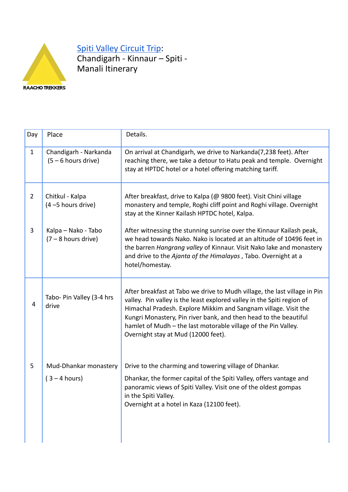

Spiti Valley [Circuit](https://raachotrekkers.com/spiti-valley-tour-package/) Trip: Chandigarh - Kinnaur – Spiti - Manali Itinerary

| Day            | Place                                          | Details.                                                                                                                                                                                                                                                                                                                                                                                            |
|----------------|------------------------------------------------|-----------------------------------------------------------------------------------------------------------------------------------------------------------------------------------------------------------------------------------------------------------------------------------------------------------------------------------------------------------------------------------------------------|
| $\mathbf{1}$   | Chandigarh - Narkanda<br>$(5 - 6$ hours drive) | On arrival at Chandigarh, we drive to Narkanda(7,238 feet). After<br>reaching there, we take a detour to Hatu peak and temple. Overnight<br>stay at HPTDC hotel or a hotel offering matching tariff.                                                                                                                                                                                                |
| $\overline{2}$ | Chitkul - Kalpa<br>(4 -5 hours drive)          | After breakfast, drive to Kalpa (@ 9800 feet). Visit Chini village<br>monastery and temple, Roghi cliff point and Roghi village. Overnight<br>stay at the Kinner Kailash HPTDC hotel, Kalpa.                                                                                                                                                                                                        |
| 3              | Kalpa - Nako - Tabo<br>$(7 - 8$ hours drive)   | After witnessing the stunning sunrise over the Kinnaur Kailash peak,<br>we head towards Nako. Nako is located at an altitude of 10496 feet in<br>the barren Hangrang valley of Kinnaur. Visit Nako lake and monastery<br>and drive to the Ajanta of the Himalayas, Tabo. Overnight at a<br>hotel/homestay.                                                                                          |
| 4              | Tabo- Pin Valley (3-4 hrs<br>drive             | After breakfast at Tabo we drive to Mudh village, the last village in Pin<br>valley. Pin valley is the least explored valley in the Spiti region of<br>Himachal Pradesh. Explore Mikkim and Sangnam village. Visit the<br>Kungri Monastery, Pin river bank, and then head to the beautiful<br>hamlet of Mudh - the last motorable village of the Pin Valley.<br>Overnight stay at Mud (12000 feet). |
| 5              | Mud-Dhankar monastery<br>$(3 - 4 hours)$       | Drive to the charming and towering village of Dhankar.<br>Dhankar, the former capital of the Spiti Valley, offers vantage and<br>panoramic views of Spiti Valley. Visit one of the oldest gompas<br>in the Spiti Valley.<br>Overnight at a hotel in Kaza (12100 feet).                                                                                                                              |